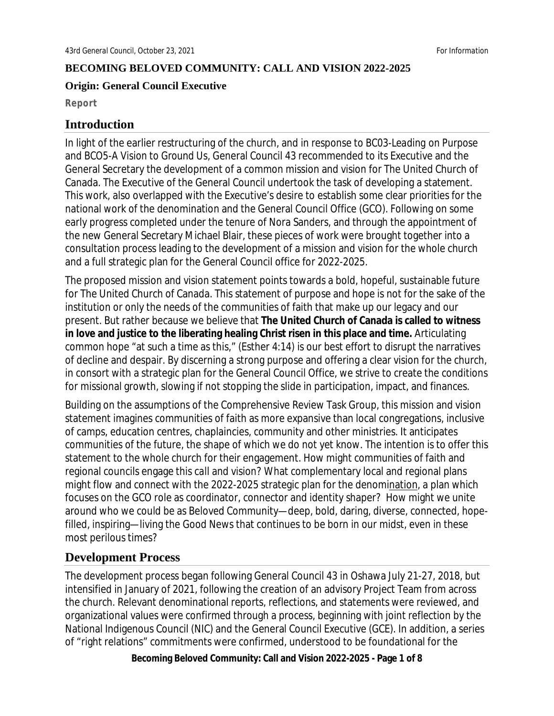#### **BECOMING BELOVED COMMUNITY: CALL AND VISION 2022-2025**

#### **Origin: General Council Executive**

**Report**

### **Introduction**

In light of the earlier restructuring of the church, and in response to *BC03-Leading on Purpose* and *BCO5-A Vision to Ground Us*, General Council 43 recommended to its Executive and the General Secretary the development of a common mission and vision for The United Church of Canada. The Executive of the General Council undertook the task of developing a statement. This work, also overlapped with the Executive's desire to establish some clear priorities for the national work of the denomination and the General Council Office (GCO). Following on some early progress completed under the tenure of Nora Sanders, and through the appointment of the new General Secretary Michael Blair, these pieces of work were brought together into a consultation process leading to the development of a mission and vision for the whole church and a full strategic plan for the General Council office for 2022-2025.

The proposed mission and vision statement points towards a bold, hopeful, sustainable future for The United Church of Canada. This statement of purpose and hope is not for the sake of the institution or only the needs of the communities of faith that make up our legacy and our present. But rather because we believe that **The United Church of Canada is called to witness in love and justice to the liberating healing Christ risen in this place and time.** Articulating common hope "at such a time as this," (Esther 4:14) is our best effort to disrupt the narratives of decline and despair. By discerning a strong purpose and offering a clear vision for the church, in consort with a strategic plan for the General Council Office, we strive to create the conditions for missional growth, slowing if not stopping the slide in participation, impact, and finances.

Building on the assumptions of the Comprehensive Review Task Group, this mission and vision statement imagines communities of faith as more expansive than local congregations, inclusive of camps, education centres, chaplaincies, community and other ministries. It anticipates communities of the future, the shape of which we do not yet know. The intention is to offer this statement to the whole church for their engagement. How might communities of faith and regional councils engage this *call* and vision? What complementary local and regional plans might flow and connect with the 2022-2025 strategic plan for the denomination, a plan which focuses on the GCO role as coordinator, connector and identity shaper? How might we unite around who we could be as Beloved Community—deep, bold, daring, diverse, connected, hopefilled, inspiring—living the Good News that continues to be born in our midst, even in these most perilous times?

### **Development Process**

The development process began following General Council 43 in Oshawa July 21-27, 2018, but intensified in January of 2021, following the creation of an advisory Project Team from across the church. Relevant denominational reports, reflections, and statements were reviewed, and organizational values were confirmed through a process, beginning with joint reflection by the National Indigenous Council (NIC) and the General Council Executive (GCE). In addition, a series of "right relations" commitments were confirmed, understood to be foundational for the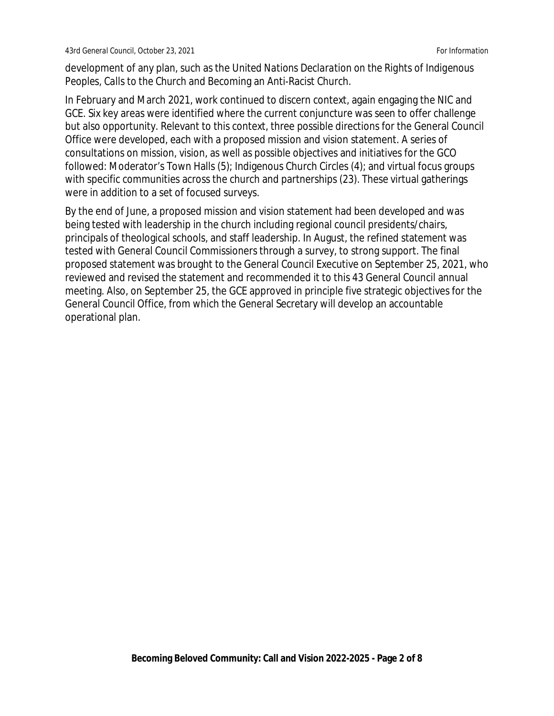development of any plan, such as the *United Nations Declaration on the Rights of Indigenous Peoples, Calls to the Church* and Becoming an Anti-Racist Church.

In February and March 2021, work continued to discern context, again engaging the NIC and GCE. Six key areas were identified where the current conjuncture was seen to offer challenge but also opportunity. Relevant to this context, three possible directions for the General Council Office were developed, each with a proposed mission and vision statement. A series of consultations on mission, vision, as well as possible objectives and initiatives for the GCO followed: Moderator's Town Halls (5); Indigenous Church Circles (4); and virtual focus groups with specific communities across the church and partnerships (23). These virtual gatherings were in addition to a set of focused surveys.

By the end of June, a proposed mission and vision statement had been developed and was being tested with leadership in the church including regional council presidents/chairs, principals of theological schools, and staff leadership. In August, the refined statement was tested with General Council Commissioners through a survey, to strong support. The final proposed statement was brought to the General Council Executive on September 25, 2021, who reviewed and revised the statement and recommended it to this 43 General Council annual meeting. Also, on September 25, the GCE approved in principle five strategic objectives for the General Council Office, from which the General Secretary will develop an accountable operational plan.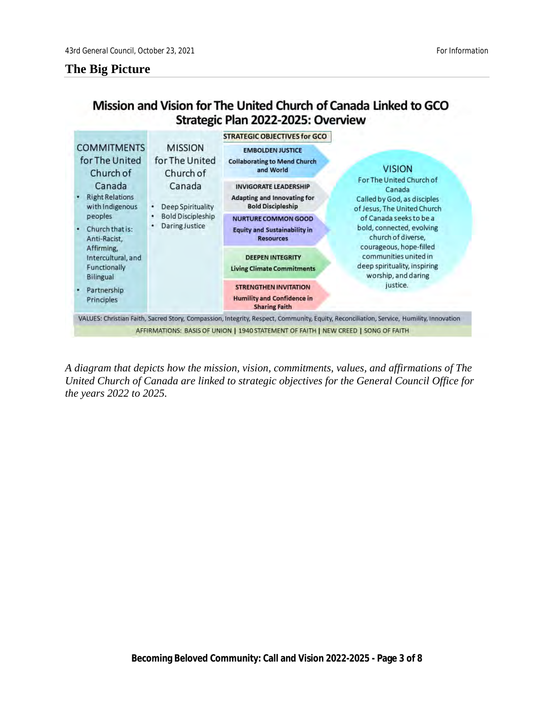### **The Big Picture**

# Mission and Vision for The United Church of Canada Linked to GCO Strategic Plan 2022-2025: Overview



*A diagram that depicts how the mission, vision, commitments, values, and affirmations of The United Church of Canada are linked to strategic objectives for the General Council Office for the years 2022 to 2025.*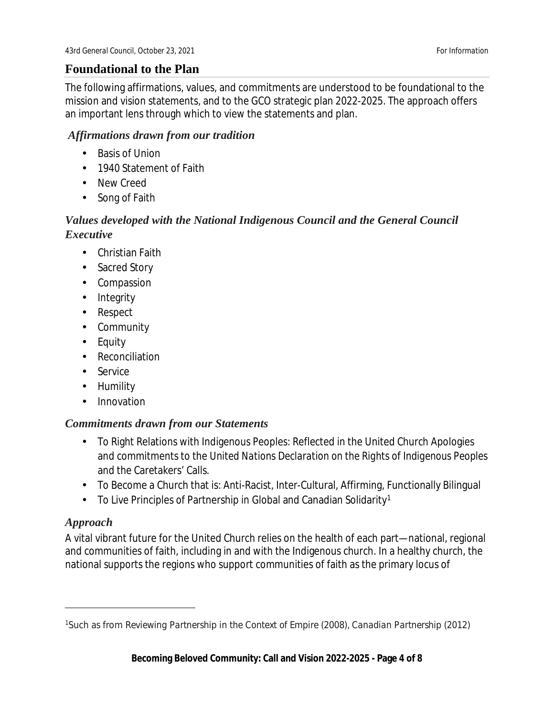## **Foundational to the Plan**

The following affirmations, values, and commitments are understood to be foundational to the mission and vision statements, and to the GCO strategic plan 2022-2025. The approach offers an important lens through which to view the statements and plan.

### *Affirmations drawn from our tradition*

- Basis of Union
- 1940 Statement of Faith  $\mathbf{r}$
- New Creed
- Song of Faith k.

## *Values developed with the National Indigenous Council and the General Council Executive*

- Christian Faith
- . Sacred Story
- Compassion
- . Integrity
- Respect
- Community
- Equity  $\mathbf{r}$
- Reconciliation
- Service
- Humility
- $\mathbf{r}^{\mathrm{max}}$ Innovation

### *Commitments drawn from our Statements*

- To Right Relations with Indigenous Peoples: Reflected in the United Church Apologies and commitments to the *United Nations Declaration on the Rights of Indigenous Peoples* and the Caretakers' Calls.
- To Become a Church that is: Anti-Racist, Inter-Cultural, Affirming, Functionally Bilingual
- To Live Principles of Partnership in Global and Canadian Solidarity[1](#page-3-0)  $\mathbf{r}^{\prime}$

### *Approach*

A vital vibrant future for the United Church relies on the health of each part—national, regional and communities of faith, including in and with the Indigenous church. In a healthy church, the national supports the regions who support communities of faith as the primary locus of

<span id="page-3-0"></span><sup>&</sup>lt;sup>1</sup>Such as from *Reviewing Partnership in the Context of Empire* (2008), *Canadian Partnership* (2012)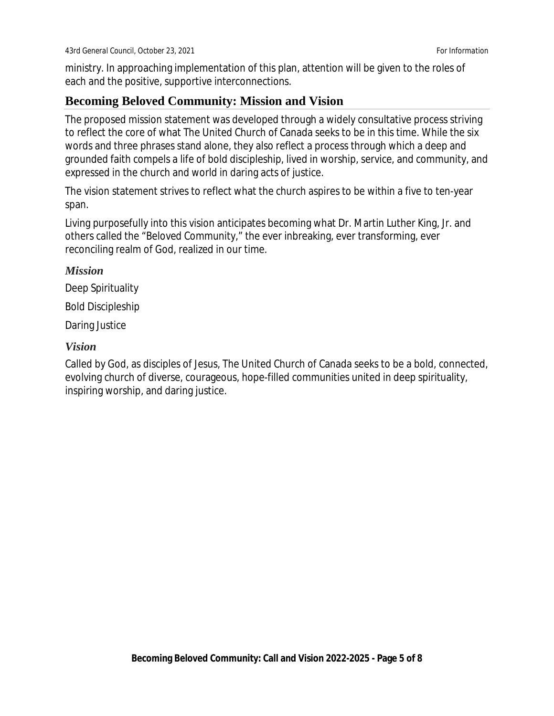ministry. In approaching implementation of this plan, attention will be given to the roles of each and the positive, supportive interconnections.

### **Becoming Beloved Community: Mission and Vision**

The proposed mission statement was developed through a widely consultative process striving to reflect the core of what The United Church of Canada seeks to be in this time. While the six words and three phrases stand alone, they also reflect a process through which a deep and grounded faith compels a life of bold discipleship, lived in worship, service, and community, and expressed in the church and world in daring acts of justice.

The vision statement strives to reflect what the church aspires to be within a five to ten-year span.

Living purposefully into this vision anticipates becoming what Dr. Martin Luther King, Jr. and others called the "Beloved Community," the ever inbreaking, ever transforming, ever reconciling realm of God, realized in our time.

#### *Mission*

Deep Spirituality

Bold Discipleship

Daring Justice

#### *Vision*

Called by God, as disciples of Jesus, The United Church of Canada seeks to be a bold, connected, evolving church of diverse, courageous, hope-filled communities united in deep spirituality, inspiring worship, and daring justice.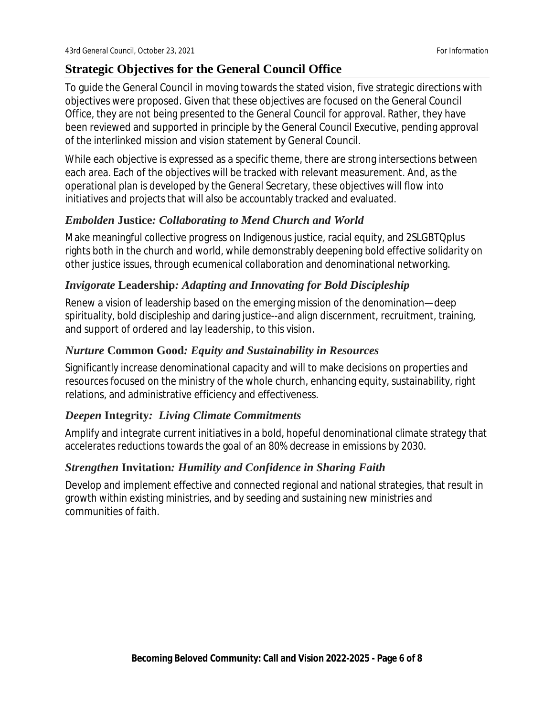## **Strategic Objectives for the General Council Office**

To guide the General Council in moving towards the stated vision, five strategic directions with objectives were proposed. Given that these objectives are focused on the General Council Office, they are not being presented to the General Council for approval. Rather, they have been reviewed and supported in principle by the General Council Executive, pending approval of the interlinked mission and vision statement by General Council.

While each objective is expressed as a specific theme, there are strong intersections between each area. Each of the objectives will be tracked with relevant measurement. And, as the operational plan is developed by the General Secretary, these objectives will flow into initiatives and projects that will also be accountably tracked and evaluated.

### *Embolden* **Justice***: Collaborating to Mend Church and World*

Make meaningful collective progress on Indigenous justice, racial equity, and 2SLGBTQplus rights both in the church and world, while demonstrably deepening bold effective solidarity on other justice issues, through ecumenical collaboration and denominational networking.

### *Invigorate* **Leadership***: Adapting and Innovating for Bold Discipleship*

Renew a vision of leadership based on the emerging mission of the denomination—deep spirituality, bold discipleship and daring justice--and align discernment, recruitment, training, and support of ordered and lay leadership, to this vision.

### *Nurture* **Common Good***: Equity and Sustainability in Resources*

Significantly increase denominational capacity and will to make decisions on properties and resources focused on the ministry of the whole church, enhancing equity, sustainability, right relations, and administrative efficiency and effectiveness.

### *Deepen* **Integrity***: Living Climate Commitments*

Amplify and integrate current initiatives in a bold, hopeful denominational climate strategy that accelerates reductions towards the goal of an 80% decrease in emissions by 2030.

### *Strengthen* **Invitation***: Humility and Confidence in Sharing Faith*

Develop and implement effective and connected regional and national strategies, that result in growth within existing ministries, and by seeding and sustaining new ministries and communities of faith.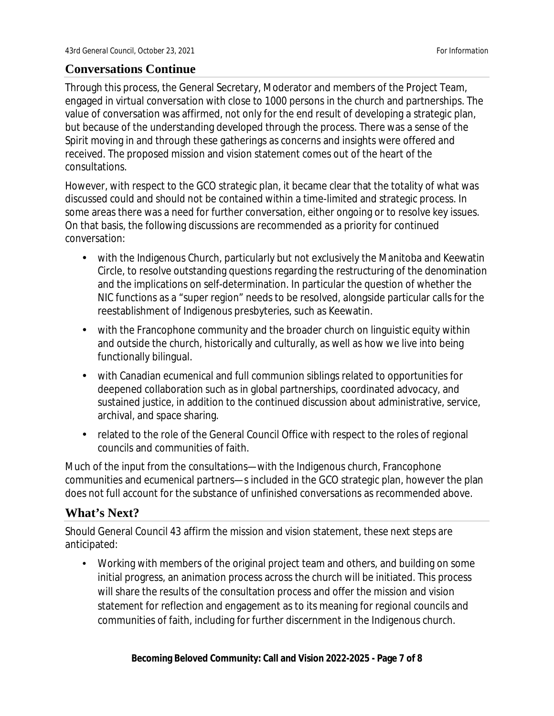### **Conversations Continue**

Through this process, the General Secretary, Moderator and members of the Project Team, engaged in virtual conversation with close to 1000 persons in the church and partnerships. The value of conversation was affirmed, not only for the end result of developing a strategic plan, but because of the understanding developed through the process. There was a sense of the Spirit moving in and through these gatherings as concerns and insights were offered and received. The proposed mission and vision statement comes out of the heart of the consultations.

However, with respect to the GCO strategic plan, it became clear that the totality of what was discussed could and should not be contained within a time-limited and strategic process. In some areas there was a need for further conversation, either ongoing or to resolve key issues. On that basis, the following discussions are recommended as a priority for continued conversation:

- with the Indigenous Church, particularly but not exclusively the Manitoba and Keewatin Circle, to resolve outstanding questions regarding the restructuring of the denomination and the implications on self-determination. In particular the question of whether the NIC functions as a "super region" needs to be resolved, alongside particular calls for the reestablishment of Indigenous presbyteries, such as Keewatin.
- with the Francophone community and the broader church on linguistic equity within  $\mathbf{r}$ and outside the church, historically and culturally, as well as how we live into being functionally bilingual.
- with Canadian ecumenical and full communion siblings related to opportunities for  $\mathbf{r}$ deepened collaboration such as in global partnerships, coordinated advocacy, and sustained justice, in addition to the continued discussion about administrative, service, archival, and space sharing.
- related to the role of the General Council Office with respect to the roles of regional  $\mathbf{r}$ councils and communities of faith.

Much of the input from the consultations—with the Indigenous church, Francophone communities and ecumenical partners—s included in the GCO strategic plan, however the plan does not full account for the substance of unfinished conversations as recommended above.

### **What's Next?**

Should General Council 43 affirm the mission and vision statement, these next steps are anticipated:

Working with members of the original project team and others, and building on some initial progress, an animation process across the church will be initiated. This process will share the results of the consultation process and offer the mission and vision statement for reflection and engagement as to its meaning for regional councils and communities of faith, including for further discernment in the Indigenous church.